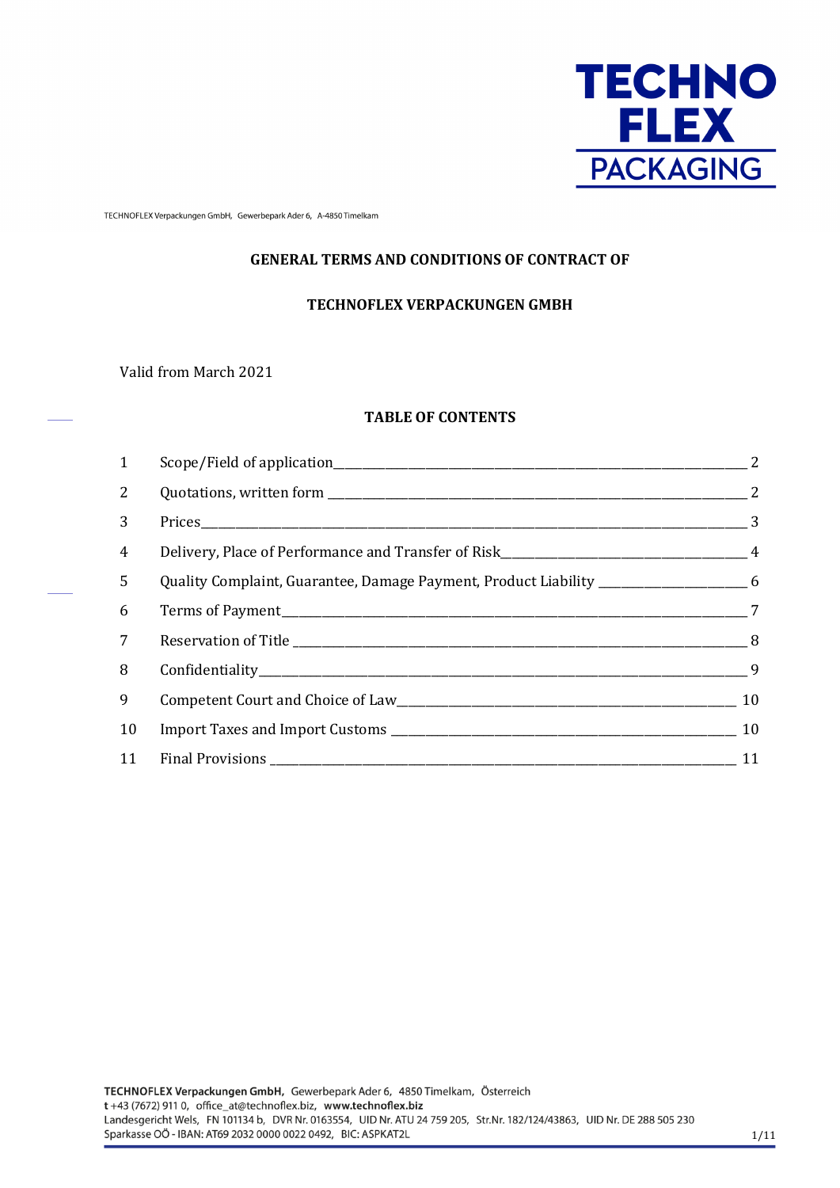

TECHNOFLEX Verpackungen GmbH, Gewerbepark Ader 6, A-4850 Timelkam

### **GENERAL TERMS AND CONDITIONS OF CONTRACT OF**

#### **TECHNOFLEX VERPACKUNGEN GMBH**

Valid from March 2021

### **TABLE OF CONTENTS**

| $\mathbf{1}$    |                                                                                    |  |
|-----------------|------------------------------------------------------------------------------------|--|
| 2               |                                                                                    |  |
| 3               |                                                                                    |  |
| $\overline{4}$  |                                                                                    |  |
| 5               | Quality Complaint, Guarantee, Damage Payment, Product Liability _________________6 |  |
| 6               |                                                                                    |  |
| $7\overline{ }$ |                                                                                    |  |
| 8               |                                                                                    |  |
| 9               |                                                                                    |  |
| 10              |                                                                                    |  |
| 11              |                                                                                    |  |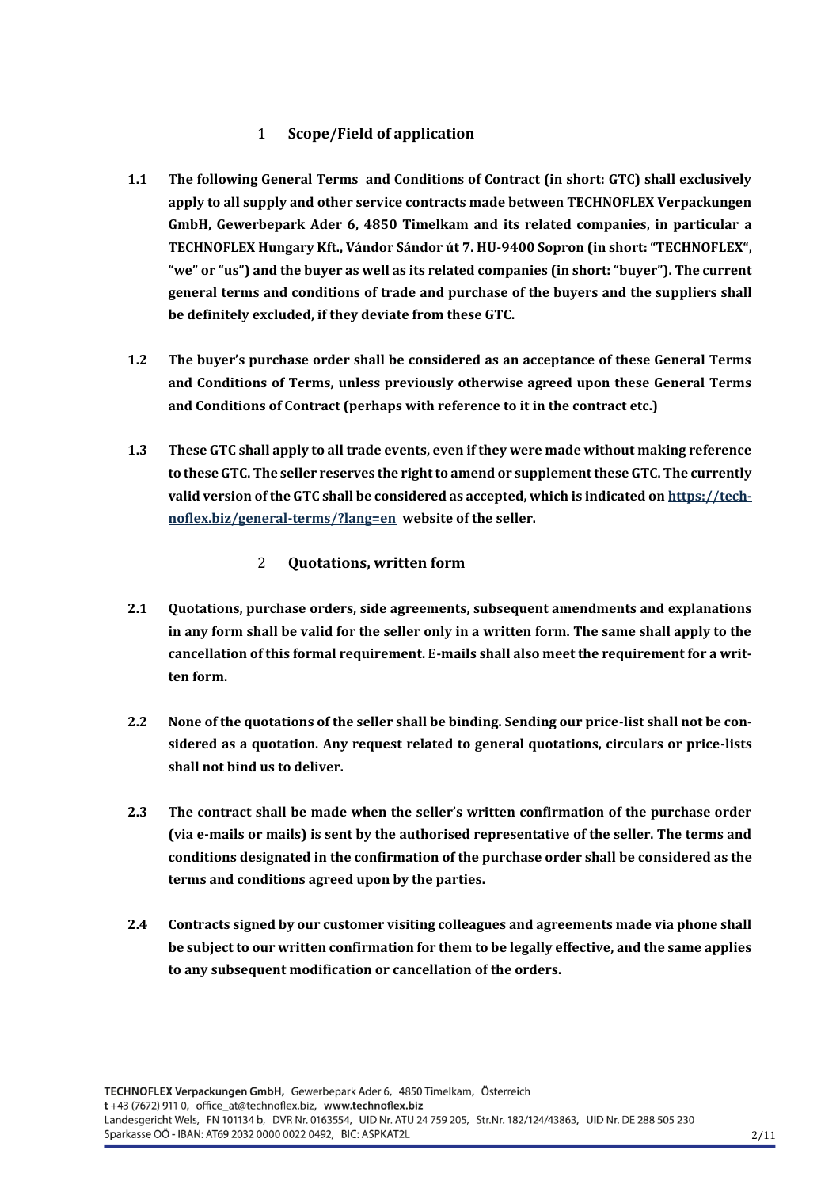# 1 **Scope/Field of application**

- <span id="page-1-0"></span>**1.1 The following General Terms and Conditions of Contract (in short: GTC) shall exclusively apply to all supply and other service contracts made between TECHNOFLEX Verpackungen GmbH, Gewerbepark Ader 6, 4850 Timelkam and its related companies, in particular a TECHNOFLEX Hungary Kft., Vándor Sándor út 7. HU-9400 Sopron (in short: "TECHNOFLEX", "we" or "us") and the buyer as well as its related companies (in short: "buyer"). The current general terms and conditions of trade and purchase of the buyers and the suppliers shall be definitely excluded, if they deviate from these GTC.**
- **1.2 The buyer's purchase order shall be considered as an acceptance of these General Terms and Conditions of Terms, unless previously otherwise agreed upon these General Terms and Conditions of Contract (perhaps with reference to it in the contract etc.)**
- **1.3 These GTC shall apply to all trade events, even if they were made without making reference to these GTC. The seller reserves the right to amend or supplement these GTC. The currently valid version of the GTC shall be considered as accepted, which is indicated o[n https://tech](https://technoflex.biz/general-terms/?lang=en)[noflex.biz/general-terms/?lang=en](https://technoflex.biz/general-terms/?lang=en) website of the seller.**
	- 2 **Quotations, written form**
- <span id="page-1-1"></span>**2.1 Quotations, purchase orders, side agreements, subsequent amendments and explanations in any form shall be valid for the seller only in a written form. The same shall apply to the cancellation of this formal requirement. E-mails shall also meet the requirement for a written form.**
- **2.2 None of the quotations of the seller shall be binding. Sending our price-list shall not be considered as a quotation. Any request related to general quotations, circulars or price-lists shall not bind us to deliver.**
- **2.3 The contract shall be made when the seller's written confirmation of the purchase order (via e-mails or mails) is sent by the authorised representative of the seller. The terms and conditions designated in the confirmation of the purchase order shall be considered as the terms and conditions agreed upon by the parties.**
- **2.4 Contracts signed by our customer visiting colleagues and agreements made via phone shall be subject to our written confirmation for them to be legally effective, and the same applies to any subsequent modification or cancellation of the orders.**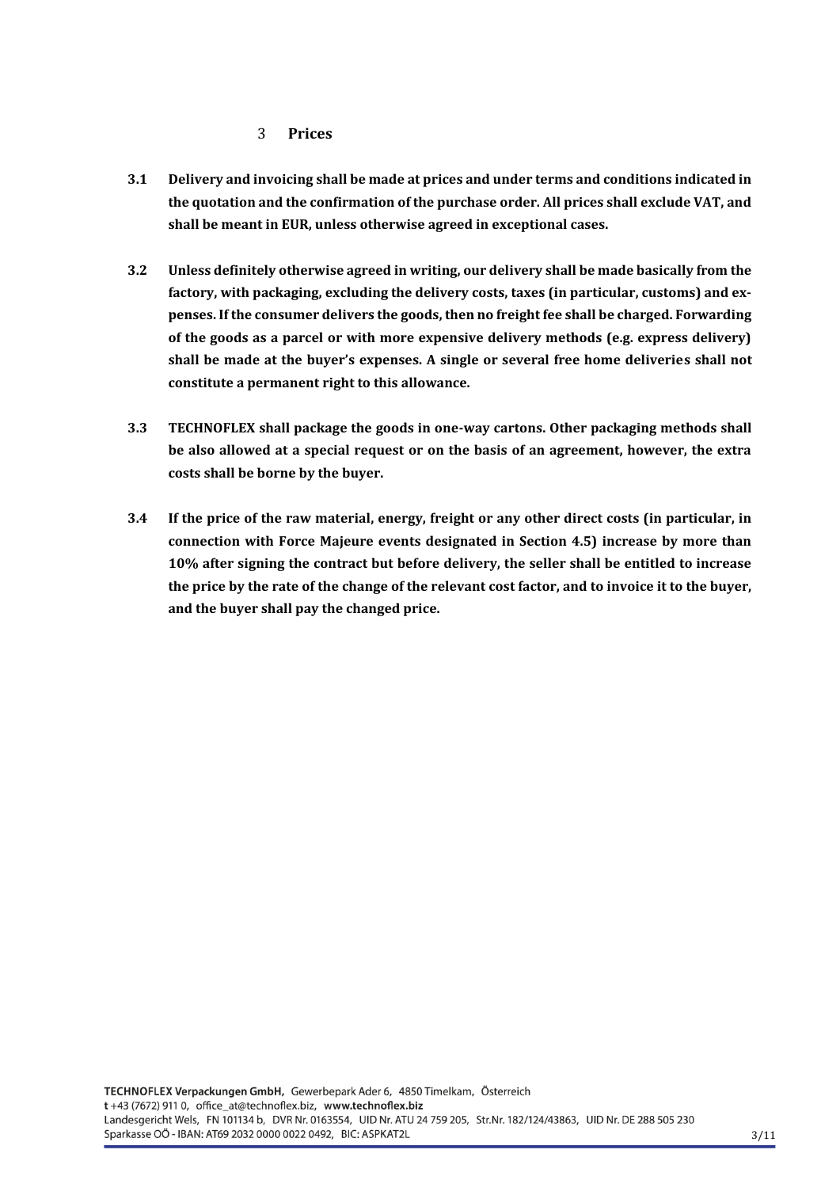#### 3 **Prices**

- <span id="page-2-0"></span>**3.1 Delivery and invoicing shall be made at prices and under terms and conditions indicated in the quotation and the confirmation of the purchase order. All prices shall exclude VAT, and shall be meant in EUR, unless otherwise agreed in exceptional cases.**
- **3.2 Unless definitely otherwise agreed in writing, our delivery shall be made basically from the factory, with packaging, excluding the delivery costs, taxes (in particular, customs) and expenses. If the consumer delivers the goods, then no freight fee shall be charged. Forwarding of the goods as a parcel or with more expensive delivery methods (e.g. express delivery) shall be made at the buyer's expenses. A single or several free home deliveries shall not constitute a permanent right to this allowance.**
- **3.3 TECHNOFLEX shall package the goods in one-way cartons. Other packaging methods shall be also allowed at a special request or on the basis of an agreement, however, the extra costs shall be borne by the buyer.**
- **3.4 If the price of the raw material, energy, freight or any other direct costs (in particular, in connection with Force Majeure events designated in Section 4.5) increase by more than 10% after signing the contract but before delivery, the seller shall be entitled to increase the price by the rate of the change of the relevant cost factor, and to invoice it to the buyer, and the buyer shall pay the changed price.**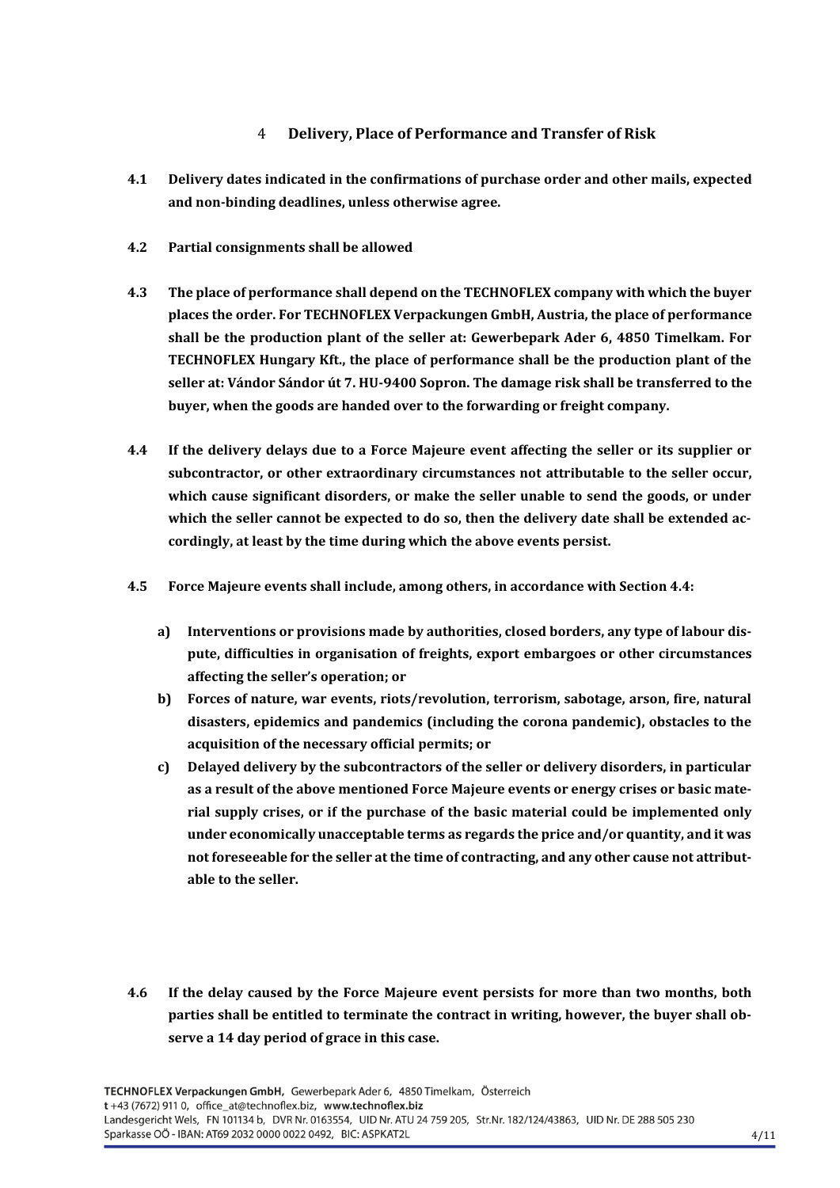# <span id="page-3-0"></span>4 **Delivery, Place of Performance and Transfer of Risk**

- **4.1 Delivery dates indicated in the confirmations of purchase order and other mails, expected and non-binding deadlines, unless otherwise agree.**
- **4.2 Partial consignments shall be allowed**
- **4.3 The place of performance shall depend on the TECHNOFLEX company with which the buyer places the order. For TECHNOFLEX Verpackungen GmbH, Austria, the place of performance shall be the production plant of the seller at: Gewerbepark Ader 6, 4850 Timelkam. For TECHNOFLEX Hungary Kft., the place of performance shall be the production plant of the seller at: Vándor Sándor út 7. HU-9400 Sopron. The damage risk shall be transferred to the buyer, when the goods are handed over to the forwarding or freight company.**
- **4.4 If the delivery delays due to a Force Majeure event affecting the seller or its supplier or subcontractor, or other extraordinary circumstances not attributable to the seller occur, which cause significant disorders, or make the seller unable to send the goods, or under which the seller cannot be expected to do so, then the delivery date shall be extended accordingly, at least by the time during which the above events persist.**
- **4.5 Force Majeure events shall include, among others, in accordance with Section 4.4:**
	- **a) Interventions or provisions made by authorities, closed borders, any type of labour dispute, difficulties in organisation of freights, export embargoes or other circumstances affecting the seller's operation; or**
	- **b) Forces of nature, war events, riots/revolution, terrorism, sabotage, arson, fire, natural disasters, epidemics and pandemics (including the corona pandemic), obstacles to the acquisition of the necessary official permits; or**
	- **c) Delayed delivery by the subcontractors of the seller or delivery disorders, in particular as a result of the above mentioned Force Majeure events or energy crises or basic material supply crises, or if the purchase of the basic material could be implemented only under economically unacceptable terms as regards the price and/or quantity, and it was not foreseeable for the seller at the time of contracting, and any other cause not attributable to the seller.**
- **4.6 If the delay caused by the Force Majeure event persists for more than two months, both parties shall be entitled to terminate the contract in writing, however, the buyer shall observe a 14 day period of grace in this case.**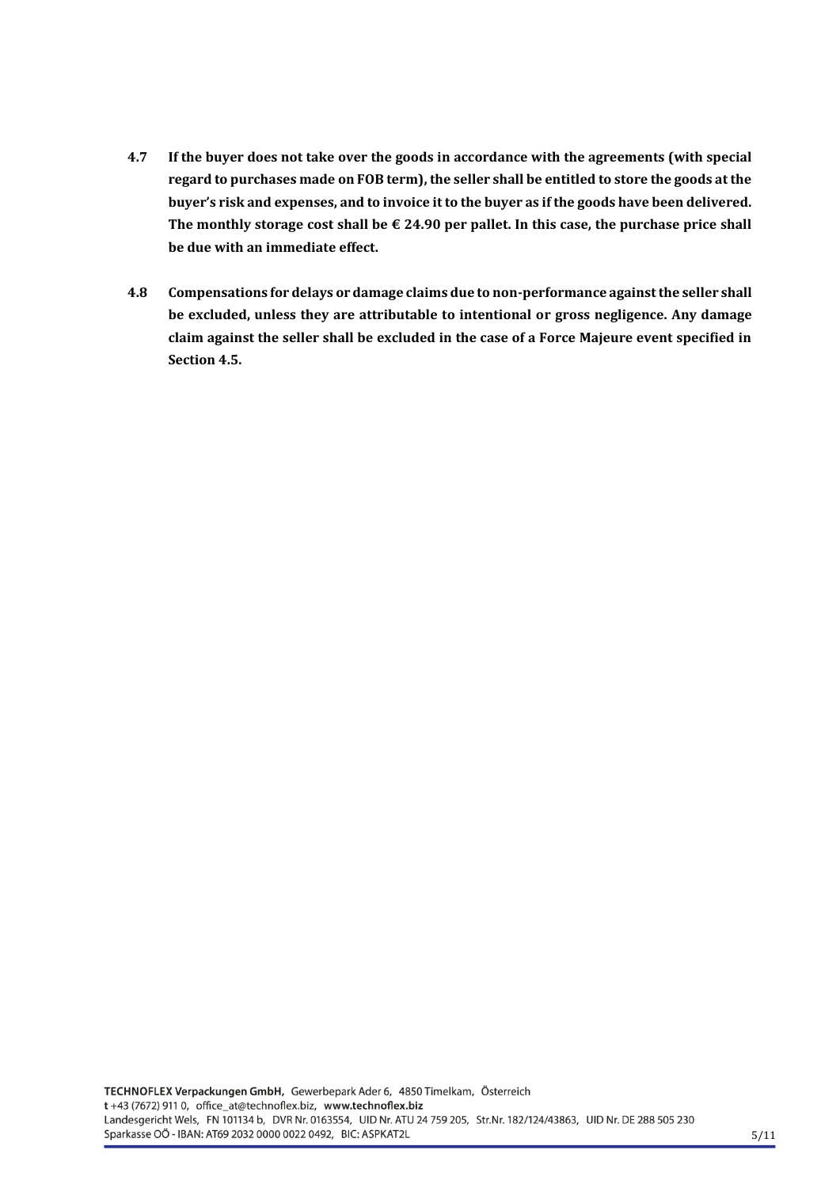- **4.7 If the buyer does not take over the goods in accordance with the agreements (with special regard to purchases made on FOB term), the seller shall be entitled to store the goods at the buyer's risk and expenses, and to invoice it to the buyer as if the goods have been delivered. The monthly storage cost shall be € 24.90 per pallet. In this case, the purchase price shall be due with an immediate effect.**
- **4.8 Compensations for delays or damage claims due to non-performance against the seller shall be excluded, unless they are attributable to intentional or gross negligence. Any damage claim against the seller shall be excluded in the case of a Force Majeure event specified in Section 4.5.**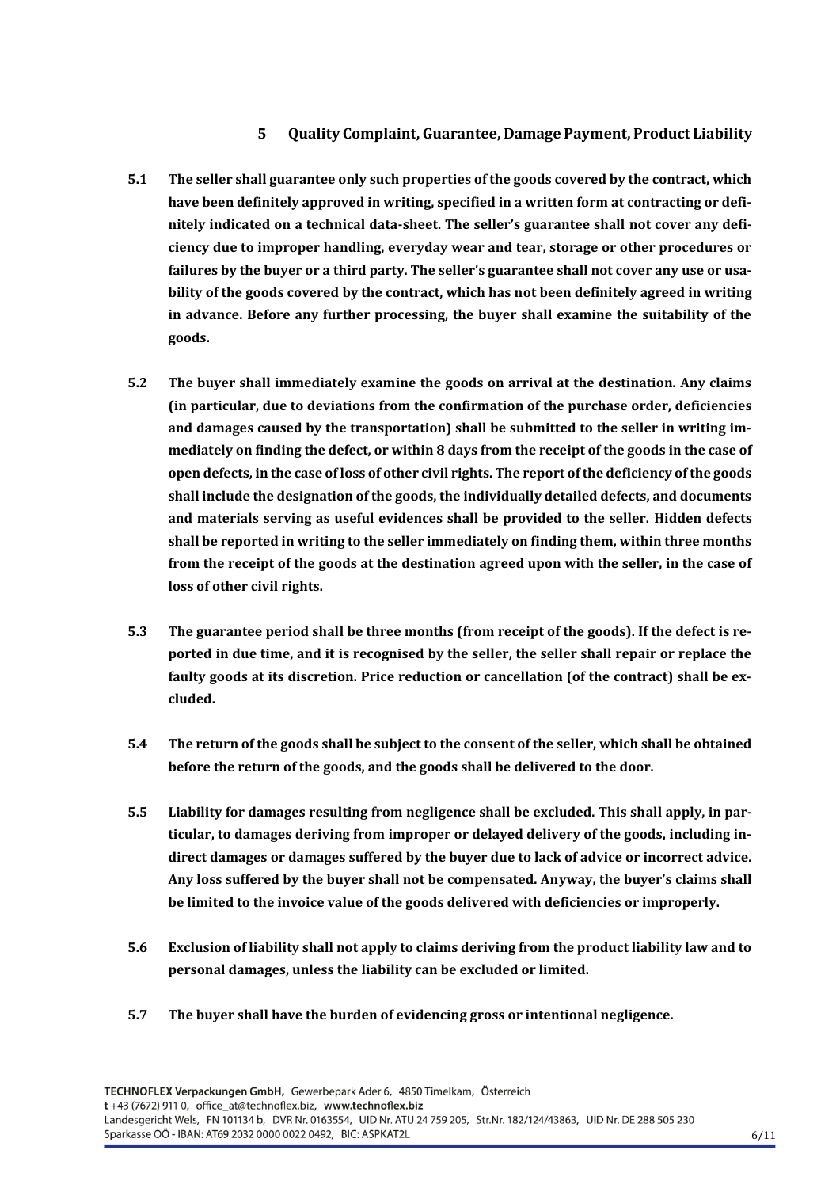## **5 Quality Complaint, Guarantee, Damage Payment, Product Liability**

- <span id="page-5-0"></span>**5.1 The seller shall guarantee only such properties of the goods covered by the contract, which have been definitely approved in writing, specified in a written form at contracting or definitely indicated on a technical data-sheet. The seller's guarantee shall not cover any deficiency due to improper handling, everyday wear and tear, storage or other procedures or failures by the buyer or a third party. The seller's guarantee shall not cover any use or usability of the goods covered by the contract, which has not been definitely agreed in writing in advance. Before any further processing, the buyer shall examine the suitability of the goods.**
- **5.2 The buyer shall immediately examine the goods on arrival at the destination. Any claims (in particular, due to deviations from the confirmation of the purchase order, deficiencies and damages caused by the transportation) shall be submitted to the seller in writing immediately on finding the defect, or within 8 days from the receipt of the goods in the case of open defects, in the case of loss of other civil rights. The report of the deficiency of the goods shall include the designation of the goods, the individually detailed defects, and documents and materials serving as useful evidences shall be provided to the seller. Hidden defects shall be reported in writing to the seller immediately on finding them, within three months from the receipt of the goods at the destination agreed upon with the seller, in the case of loss of other civil rights.**
- **5.3 The guarantee period shall be three months (from receipt of the goods). If the defect is reported in due time, and it is recognised by the seller, the seller shall repair or replace the faulty goods at its discretion. Price reduction or cancellation (of the contract) shall be excluded.**
- **5.4 The return of the goods shall be subject to the consent of the seller, which shall be obtained before the return of the goods, and the goods shall be delivered to the door.**
- **5.5 Liability for damages resulting from negligence shall be excluded. This shall apply, in particular, to damages deriving from improper or delayed delivery of the goods, including indirect damages or damages suffered by the buyer due to lack of advice or incorrect advice. Any loss suffered by the buyer shall not be compensated. Anyway, the buyer's claims shall be limited to the invoice value of the goods delivered with deficiencies or improperly.**
- **5.6 Exclusion of liability shall not apply to claims deriving from the product liability law and to personal damages, unless the liability can be excluded or limited.**
- **5.7 The buyer shall have the burden of evidencing gross or intentional negligence.**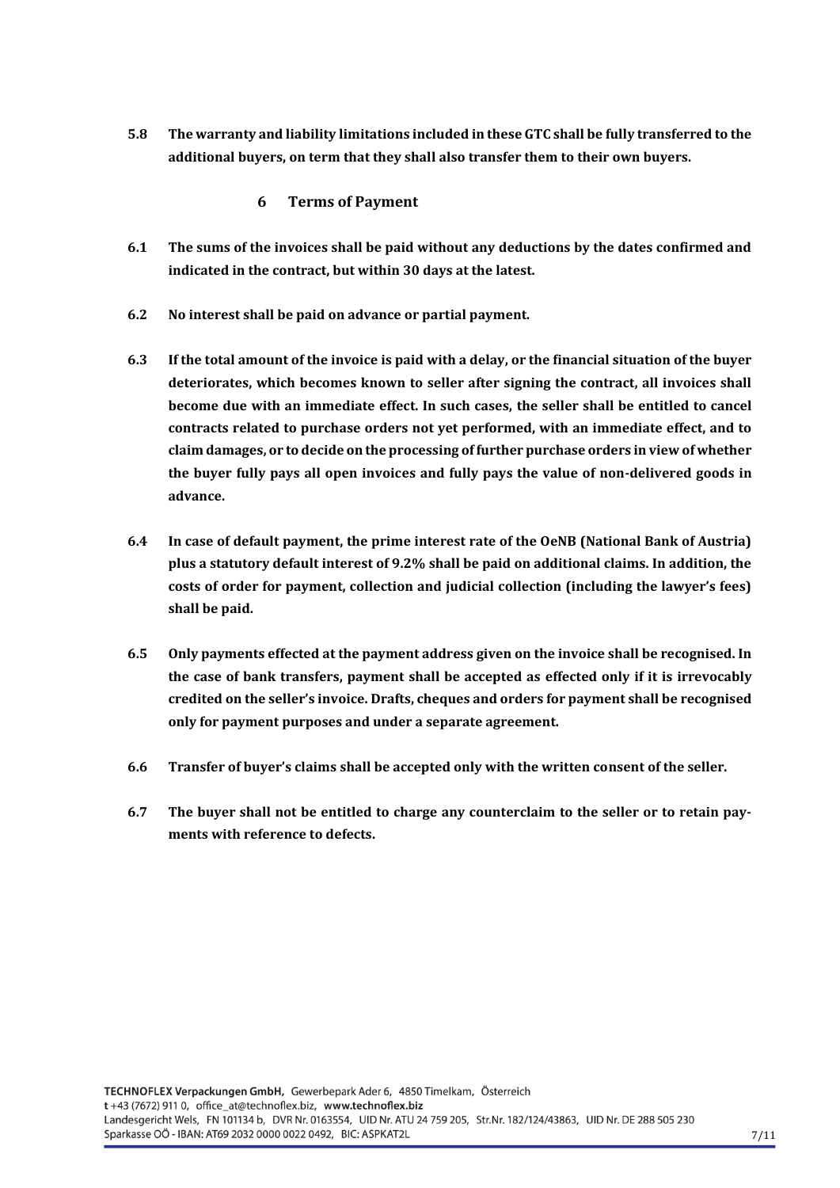**5.8 The warranty and liability limitations included in these GTC shall be fully transferred to the additional buyers, on term that they shall also transfer them to their own buyers.** 

### **6 Terms of Payment**

- <span id="page-6-0"></span>**6.1 The sums of the invoices shall be paid without any deductions by the dates confirmed and indicated in the contract, but within 30 days at the latest.**
- **6.2 No interest shall be paid on advance or partial payment.**
- **6.3 If the total amount of the invoice is paid with a delay, or the financial situation of the buyer deteriorates, which becomes known to seller after signing the contract, all invoices shall become due with an immediate effect. In such cases, the seller shall be entitled to cancel contracts related to purchase orders not yet performed, with an immediate effect, and to claim damages, or to decide on the processing of further purchase orders in view of whether the buyer fully pays all open invoices and fully pays the value of non-delivered goods in advance.**
- **6.4 In case of default payment, the prime interest rate of the OeNB (National Bank of Austria) plus a statutory default interest of 9.2% shall be paid on additional claims. In addition, the costs of order for payment, collection and judicial collection (including the lawyer's fees) shall be paid.**
- **6.5 Only payments effected at the payment address given on the invoice shall be recognised. In the case of bank transfers, payment shall be accepted as effected only if it is irrevocably credited on the seller's invoice. Drafts, cheques and orders for payment shall be recognised only for payment purposes and under a separate agreement.**
- **6.6 Transfer of buyer's claims shall be accepted only with the written consent of the seller.**
- **6.7 The buyer shall not be entitled to charge any counterclaim to the seller or to retain payments with reference to defects.**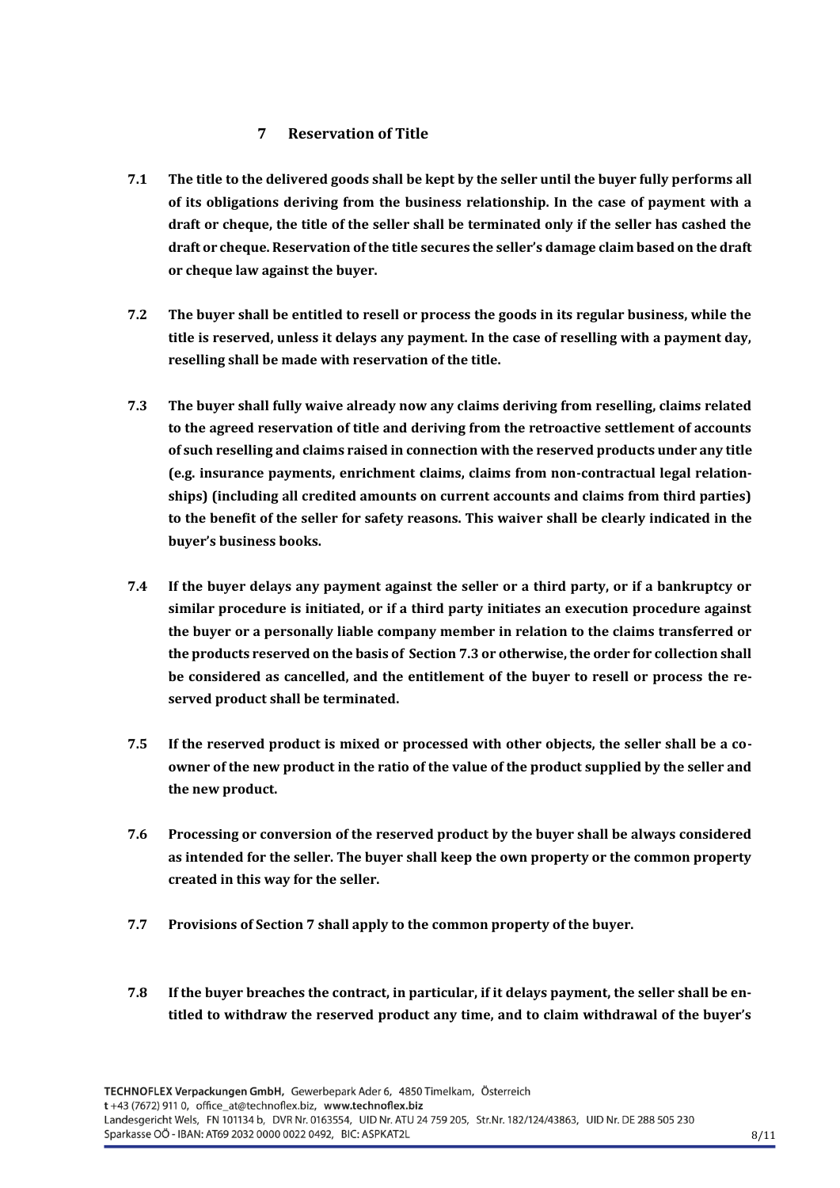## **7 Reservation of Title**

- <span id="page-7-0"></span>**7.1 The title to the delivered goods shall be kept by the seller until the buyer fully performs all of its obligations deriving from the business relationship. In the case of payment with a draft or cheque, the title of the seller shall be terminated only if the seller has cashed the draft or cheque. Reservation of the title secures the seller's damage claim based on the draft or cheque law against the buyer.**
- **7.2 The buyer shall be entitled to resell or process the goods in its regular business, while the title is reserved, unless it delays any payment. In the case of reselling with a payment day, reselling shall be made with reservation of the title.**
- **7.3 The buyer shall fully waive already now any claims deriving from reselling, claims related to the agreed reservation of title and deriving from the retroactive settlement of accounts of such reselling and claims raised in connection with the reserved products under any title (e.g. insurance payments, enrichment claims, claims from non-contractual legal relationships) (including all credited amounts on current accounts and claims from third parties) to the benefit of the seller for safety reasons. This waiver shall be clearly indicated in the buyer's business books.**
- **7.4 If the buyer delays any payment against the seller or a third party, or if a bankruptcy or similar procedure is initiated, or if a third party initiates an execution procedure against the buyer or a personally liable company member in relation to the claims transferred or the products reserved on the basis of Section 7.3 or otherwise, the order for collection shall be considered as cancelled, and the entitlement of the buyer to resell or process the reserved product shall be terminated.**
- **7.5 If the reserved product is mixed or processed with other objects, the seller shall be a coowner of the new product in the ratio of the value of the product supplied by the seller and the new product.**
- **7.6 Processing or conversion of the reserved product by the buyer shall be always considered as intended for the seller. The buyer shall keep the own property or the common property created in this way for the seller.**
- **7.7 Provisions of Section 7 shall apply to the common property of the buyer.**
- **7.8 If the buyer breaches the contract, in particular, if it delays payment, the seller shall be entitled to withdraw the reserved product any time, and to claim withdrawal of the buyer's**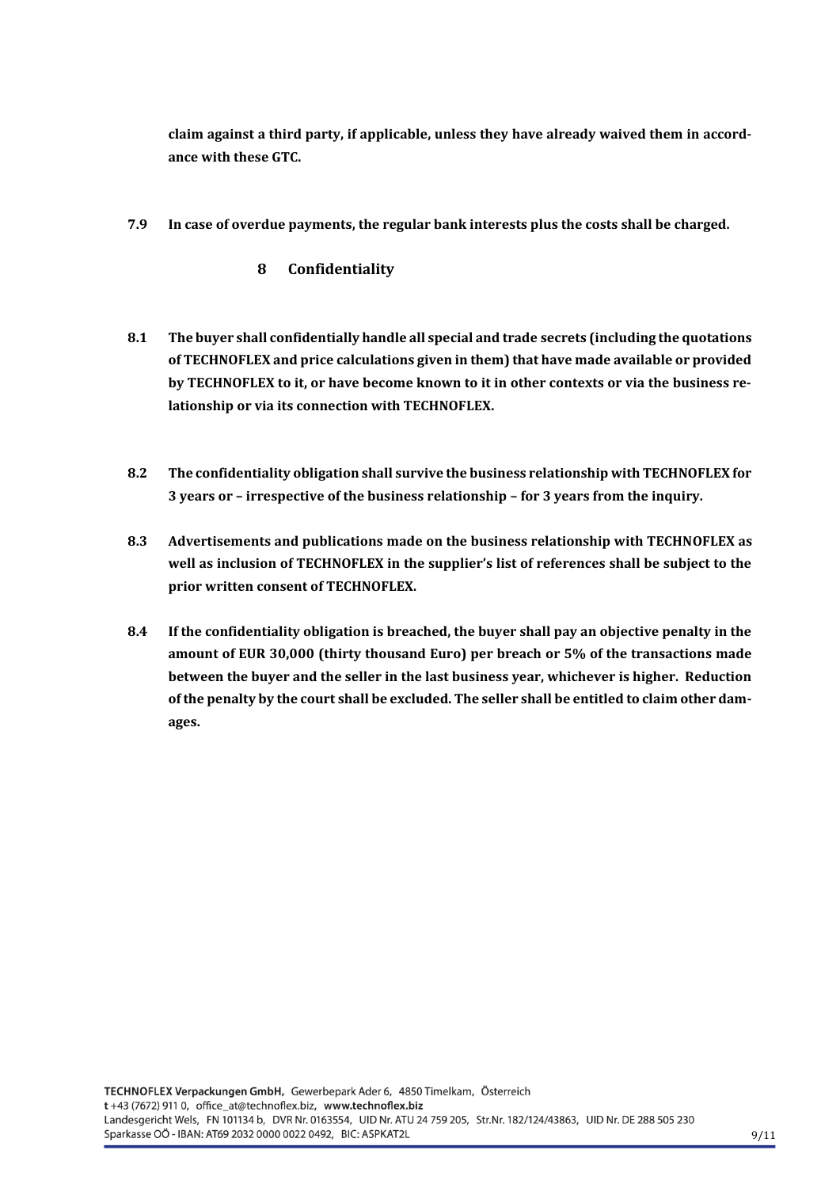**claim against a third party, if applicable, unless they have already waived them in accordance with these GTC.** 

- <span id="page-8-0"></span>**7.9 In case of overdue payments, the regular bank interests plus the costs shall be charged.** 
	- **8 Confidentiality**
- **8.1 The buyer shall confidentially handle all special and trade secrets (including the quotations of TECHNOFLEX and price calculations given in them) that have made available or provided by TECHNOFLEX to it, or have become known to it in other contexts or via the business relationship or via its connection with TECHNOFLEX.**
- **8.2 The confidentiality obligation shall survive the business relationship with TECHNOFLEX for 3 years or – irrespective of the business relationship – for 3 years from the inquiry.**
- **8.3 Advertisements and publications made on the business relationship with TECHNOFLEX as well as inclusion of TECHNOFLEX in the supplier's list of references shall be subject to the prior written consent of TECHNOFLEX.**
- **8.4 If the confidentiality obligation is breached, the buyer shall pay an objective penalty in the amount of EUR 30,000 (thirty thousand Euro) per breach or 5% of the transactions made between the buyer and the seller in the last business year, whichever is higher. Reduction of the penalty by the court shall be excluded. The seller shall be entitled to claim other damages.**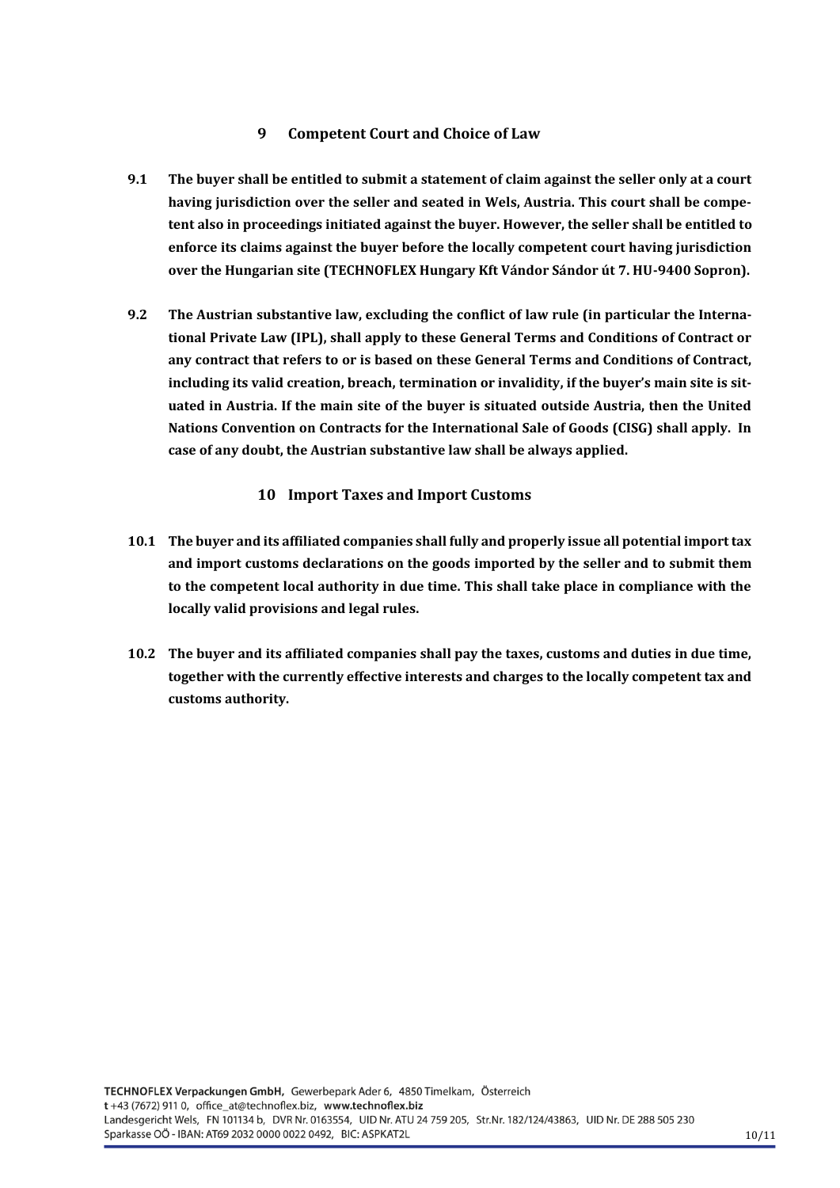## **9 Competent Court and Choice of Law**

- <span id="page-9-0"></span>**9.1 The buyer shall be entitled to submit a statement of claim against the seller only at a court having jurisdiction over the seller and seated in Wels, Austria. This court shall be competent also in proceedings initiated against the buyer. However, the seller shall be entitled to enforce its claims against the buyer before the locally competent court having jurisdiction over the Hungarian site (TECHNOFLEX Hungary Kft Vándor Sándor út 7. HU-9400 Sopron).**
- **9.2 The Austrian substantive law, excluding the conflict of law rule (in particular the International Private Law (IPL), shall apply to these General Terms and Conditions of Contract or any contract that refers to or is based on these General Terms and Conditions of Contract, including its valid creation, breach, termination or invalidity, if the buyer's main site is situated in Austria. If the main site of the buyer is situated outside Austria, then the United Nations Convention on Contracts for the International Sale of Goods (CISG) shall apply. In case of any doubt, the Austrian substantive law shall be always applied.**

# **10 Import Taxes and Import Customs**

- <span id="page-9-1"></span>**10.1 The buyer and its affiliated companies shall fully and properly issue all potential import tax and import customs declarations on the goods imported by the seller and to submit them to the competent local authority in due time. This shall take place in compliance with the locally valid provisions and legal rules.**
- **10.2 The buyer and its affiliated companies shall pay the taxes, customs and duties in due time, together with the currently effective interests and charges to the locally competent tax and customs authority.**